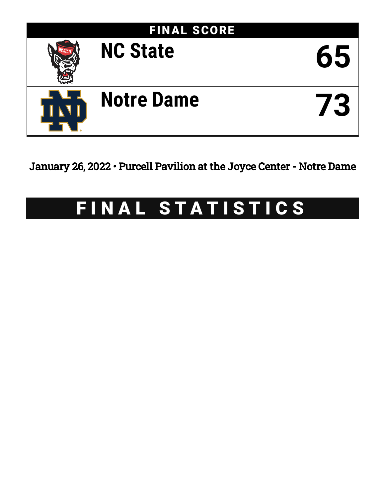

January 26, 2022 • Purcell Pavilion at the Joyce Center - Notre Dame

# FINAL STATISTICS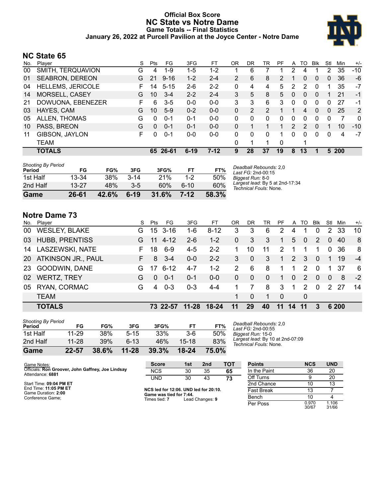### **Official Box Score NC State vs Notre Dame Game Totals -- Final Statistics January 26, 2022 at Purcell Pavilion at the Joyce Center - Notre Dame**



# **NC State 65**

| No. | Plaver                   | S  | <b>Pts</b> | FG.      | 3FG      | FТ      | OR | DR | TR             | PF             | A              | TO | <b>B</b> lk  | Stl          | Min   | $+/-$        |
|-----|--------------------------|----|------------|----------|----------|---------|----|----|----------------|----------------|----------------|----|--------------|--------------|-------|--------------|
| 00  | SMITH, TERQUAVION        | G  | 4          | $1-9$    | $1-5$    | $1 - 2$ |    | 6  |                |                | 2              | 4  |              | 2            | 35    | $-10$        |
| 01  | <b>SEABRON, DEREON</b>   | G  | 21         | $9 - 16$ | $1 - 2$  | $2 - 4$ | 2  | 6  | 8              | $\overline{2}$ |                | 0  | $\mathbf{0}$ | $\mathbf{0}$ | 36    | -6           |
| 04  | <b>HELLEMS, JERICOLE</b> | F. | 14         | $5 - 15$ | $2 - 6$  | $2 - 2$ | 0  | 4  | 4              | 5              | 2              | 2  | $\Omega$     |              | 35    | $-7$         |
| 14  | MORSELL, CASEY           | G  | 10         | $3 - 4$  | $2 - 2$  | $2 - 4$ | 3  | 5  | 8              | 5              | 0              | 0  | $\Omega$     |              | 21    | -1           |
| 21  | DOWUONA, EBENEZER        | F. | 6          | $3 - 5$  | $0 - 0$  | $0-0$   | 3  | 3  | 6              | 3              | $\Omega$       | 0  | $\Omega$     | $\Omega$     | 27    | -1           |
| 03  | HAYES, CAM               | G  | 10         | $5-9$    | $0 - 2$  | $0 - 0$ | 0  | 2  | $\overline{2}$ | 1.             |                | 4  | $\mathbf{0}$ | 0            | 25    | 2            |
| 05  | ALLEN, THOMAS            | G  | 0          | $0 - 1$  | $0 - 1$  | $0-0$   | 0  | 0  | 0              | 0              | 0              | 0  | 0            | 0            | 7     | $\mathbf{0}$ |
| 10  | PASS, BREON              | G  | $\Omega$   | $0 - 1$  | $0 - 1$  | $0 - 0$ | 0  |    |                |                | $\overline{2}$ | 2  | $\Omega$     |              | 10    | $-10$        |
| 11  | GIBSON, JAYLON           | F. | 0          | $0 - 1$  | $0 - 0$  | $0 - 0$ | 0  | 0  | 0              | 1              | 0              | 0  | $\Omega$     | 0            | 4     | -7           |
|     | <b>TEAM</b>              |    |            |          |          |         | 0  | 1  |                | $\Omega$       |                |    |              |              |       |              |
|     | <b>TOTALS</b>            |    |            | 65 26-61 | $6 - 19$ | $7-12$  | 9  | 28 | 37             | 19             | 8              | 13 |              |              | 5 200 |              |

| <b>Shooting By Period</b><br>Period | FG        | FG%   | 3FG      | 3FG%  | FТ      | FT%   |
|-------------------------------------|-----------|-------|----------|-------|---------|-------|
| 1st Half                            | 13-34     | 38%   | $3 - 14$ | 21%   | $1 - 2$ | 50%   |
| 2nd Half                            | $13 - 27$ | 48%   | $3-5$    | 60%   | $6-10$  | 60%   |
| Game                                | 26-61     | 42.6% | $6-19$   | 31.6% | $7-12$  | 58.3% |

*Deadball Rebounds:* 2,0 *Last FG:* 2nd-00:15 *Biggest Run:* 8-0 *Largest lead:* By 5 at 2nd-17:34 *Technical Fouls:* None.

# **Notre Dame 73**

| No.             | Player                | S. | <b>Pts</b> | FG       | 3FG       | FT       | OR       | DR          | TR       | <b>PF</b>     | A        | TO            | <b>BIK</b> | Stl            | Min   | $+/-$ |
|-----------------|-----------------------|----|------------|----------|-----------|----------|----------|-------------|----------|---------------|----------|---------------|------------|----------------|-------|-------|
| 00              | <b>WESLEY, BLAKE</b>  | G. |            | 15 3-16  | 1-6       | $8 - 12$ | 3        | 3           | 6        | 2             | 4        |               | 0          | $\overline{2}$ | 33    | 10    |
|                 | 03 HUBB, PRENTISS     | G  | 11         | $4 - 12$ | $2-6$     | $1 - 2$  | $\Omega$ | 3           | 3        | -1            | 5        | 0             | 2          | $\Omega$       | 40    | -8    |
| 14              | LASZEWSKI, NATE       | F. | 18         | $6-9$    | $4 - 5$   | $2 - 2$  |          | 10          | 11       | $\mathcal{P}$ | 1        |               |            | $\Omega$       | -36   | 8     |
|                 | 20 ATKINSON JR., PAUL | F. | 8          | $3 - 4$  | $0 - 0$   | $2 - 2$  | 3        | $\mathbf 0$ | 3        | 1             | 2        | 3             | $\Omega$   | 1              | 19    | $-4$  |
| -23             | GOODWIN, DANE         | G. | 17         | $6-12$   | $4 - 7$   | $1 - 2$  | 2        | 6           | 8        | 1.            | 1.       | 2             | $\Omega$   | $\mathbf 1$    | -37   | -6    |
| 02 <sub>2</sub> | <b>WERTZ, TREY</b>    | G  | $\Omega$   | $0 - 1$  | $0 - 1$   | $0 - 0$  | $\Omega$ | $\Omega$    | $\Omega$ | $\mathbf 1$   | $\Omega$ | $\mathcal{P}$ | $\Omega$   | $\Omega$       | 8     | $-2$  |
| 05              | RYAN, CORMAC          | G  | 4          | $0 - 3$  | $0 - 3$   | $4 - 4$  |          | 7           | 8        | 3             | 1        | 2             | $\Omega$   | $\mathcal{P}$  | -27   | 14    |
|                 | <b>TEAM</b>           |    |            |          |           |          | 1        | $\Omega$    | 1        | $\Omega$      |          | 0             |            |                |       |       |
|                 | <b>TOTALS</b>         |    |            | 73 22-57 | $11 - 28$ | 18-24    | 11       | 29          | 40       | 11            | 14       | 11            | 3          |                | 6 200 |       |
|                 |                       |    |            |          |           |          |          |             |          |               |          |               |            |                |       |       |

| Game                                | 22-57     | 38.6% | $11 - 28$ | 39.3% | $18 - 24$ | 75.0% |
|-------------------------------------|-----------|-------|-----------|-------|-----------|-------|
| 2nd Half                            | 11-28     | 39%   | ჩ 13      | 46%   | 15-18     | 83%   |
| 1st Half                            | $11 - 29$ | 38%   | $5 - 15$  | 33%   | $3-6$     | 50%   |
| <b>Shooting By Period</b><br>Period | FG        | FG%   | 3FG       | 3FG%  | FТ        | FT%   |

*Deadball Rebounds:* 2,0 *Last FG:* 2nd-00:55 *Biggest Run:* 15-0 *Largest lead:* By 10 at 2nd-07:09 *Technical Fouls:* None.

|                                                   | <b>Score</b>                          | 1st | 2nd | тот | <b>Points</b>     |  |
|---------------------------------------------------|---------------------------------------|-----|-----|-----|-------------------|--|
| Officials: Ron Groover, John Gaffney, Joe Lindsay | <b>NCS</b>                            | 30  | 35  | 65  | In the Paint      |  |
|                                                   | <b>UND</b>                            | 30  | 43  | 73  | Off Turns         |  |
| Start Time: 09:04 PM ET                           |                                       |     |     |     | 2nd Chance        |  |
|                                                   | NCS led for 12:06. UND led for 20:10. |     |     |     | <b>Fast Break</b> |  |
| End Time: 11:05 PM ET                             | Came was find for 7:44                |     |     |     |                   |  |

Game Duration: **2:00** Conference Game;

**Game was tied for 7:44.** Times tied: **7** Lead Changes: **9**

| Points       | <b>NCS</b>     | UND            |
|--------------|----------------|----------------|
| In the Paint | 36             | 20             |
| Off Turns    | 9              | 20             |
| 2nd Chance   | 10             | 13             |
| Fast Break   | 13             |                |
| Bench        | 10             |                |
| Per Poss     | 0.970<br>30/67 | 1.106<br>31/66 |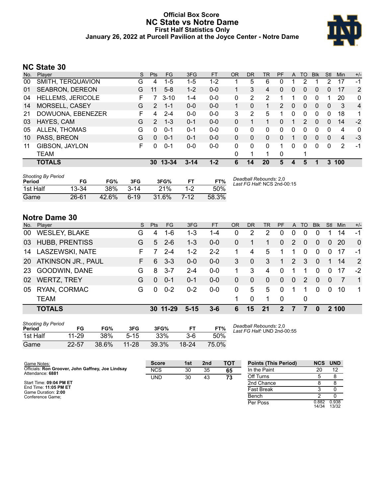### **Official Box Score NC State vs Notre Dame First Half Statistics Only January 26, 2022 at Purcell Pavilion at the Joyce Center - Notre Dame**



# **NC State 30**

|     | <b>TOTALS</b>            |    | 30            | $13 - 34$ | $3 - 14$ | $1 - 2$   | 6         | 14        | 20       | 5            | 4            | 5  |              | 3        | 100 |                |
|-----|--------------------------|----|---------------|-----------|----------|-----------|-----------|-----------|----------|--------------|--------------|----|--------------|----------|-----|----------------|
|     | TEAM                     |    |               |           |          |           | 0         | 1         |          | 0            |              |    |              |          |     |                |
| 11  | GIBSON, JAYLON           | F. | 0             | $0 - 1$   | $0-0$    | $0 - 0$   | 0         | $\Omega$  | $\Omega$ | 1            | $\Omega$     | 0  | 0            | $\Omega$ | 2   | $-1$           |
| 10  | PASS, BREON              | G  | $\Omega$      | $0 - 1$   | $0 - 1$  | $0 - 0$   | 0         | 0         | $\Omega$ | $\Omega$     |              | 0  | $\Omega$     | $\Omega$ | 4   | -3             |
| 05  | ALLEN, THOMAS            | G  | $\Omega$      | $0 - 1$   | $0 - 1$  | $0 - 0$   | 0         | 0         | 0        | 0            | $\Omega$     | 0  | 0            | $\Omega$ | 4   | $\mathbf{0}$   |
| 03  | HAYES, CAM               | G  | $\mathcal{P}$ | $1 - 3$   | $0 - 1$  | $0 - 0$   | 0         |           |          | $\mathbf{0}$ |              | 2  | 0            | $\Omega$ | 14  | $-2$           |
| 21  | DOWUONA, EBENEZER        | F. | 4             | $2 - 4$   | $0 - 0$  | $0 - 0$   | 3         | 2         | 5        |              | $\Omega$     | 0  | 0            | 0        | 18  | 1              |
| 14  | MORSELL, CASEY           | G  | 2             | $1 - 1$   | $0 - 0$  | $0 - 0$   |           | 0         |          | 2            | $\mathbf{0}$ | 0  | $\mathbf{0}$ | 0        | 3   | $\overline{4}$ |
| 04  | <b>HELLEMS, JERICOLE</b> |    |               | $3 - 10$  | $1 - 4$  | $0 - 0$   | 0         | 2         | 2        |              |              | 0  | 0            |          | 20  | $\mathbf{0}$   |
| 01  | <b>SEABRON, DEREON</b>   | G  | 11            | $5 - 8$   | $1 - 2$  | $0-0$     | 1.        | 3         | 4        | 0            | 0            | 0  | 0            | 0        | 17  | 2              |
| 00  | SMITH, TERQUAVION        | G  | 4             | $1 - 5$   | $1-5$    | 1-2       |           | 5         | 6        | 0            |              | 2  |              | 2        | 17  | $-1$           |
| No. | Player                   | S. | <b>Pts</b>    | <b>FG</b> | 3FG      | <b>FT</b> | <b>OR</b> | <b>DR</b> | TR       | <b>PF</b>    | $\mathsf{A}$ | TO | <b>B</b> lk  | Stl      | Min | $+/-$          |

| <b>Shooting By Period</b><br>Period | FG        | FG%        | 3FG      | 3FG%  |         | FT%   | Deadball Rebounds: 2,0<br>Last FG Half: NCS 2nd-00:15 |
|-------------------------------------|-----------|------------|----------|-------|---------|-------|-------------------------------------------------------|
| 1st Half                            | $13 - 34$ | <b>38%</b> | $3 - 14$ | 21%   | $1 - 2$ | 50%   |                                                       |
| Game                                | $26 - 61$ | 42.6%      | $6-19$   | 31.6% | 7-12    | 58.3% |                                                       |

# **Notre Dame 30**

| No.             | Player                | S. | <b>Pts</b> | <b>FG</b> | 3FG     | <b>FT</b> | <b>OR</b> | <b>DR</b>      | <b>TR</b> | <b>PF</b>      |          | A TO     | <b>BIK</b> | Stl      | Min       | $+/-$          |
|-----------------|-----------------------|----|------------|-----------|---------|-----------|-----------|----------------|-----------|----------------|----------|----------|------------|----------|-----------|----------------|
| 00              | <b>WESLEY, BLAKE</b>  | G  | 4          | 1-6       | 1-3     | 1-4       | 0         | 2              | 2         | 0              | 0        | 0        |            |          | 14        | -1             |
| 03              | <b>HUBB, PRENTISS</b> | G  | 5          | $2 - 6$   | $1 - 3$ | $0 - 0$   | 0         |                |           | $\mathbf{0}$   | 2        | $\Omega$ | $\Omega$   | $\Omega$ | <b>20</b> | $\Omega$       |
| 14              | LASZEWSKI, NATE       |    |            | $2 - 4$   | $1 - 2$ | $2 - 2$   |           | 4              | 5         |                |          | 0        | $\Omega$   | $\Omega$ | 17        | -1             |
| 20 <sub>1</sub> | ATKINSON JR., PAUL    | F. | 6          | $3 - 3$   | $0 - 0$ | $0 - 0$   | 3         | $\mathbf{0}$   | 3         | 1              | 2        | 3        | $\Omega$   | 1        | 14        | 2              |
| 23              | GOODWIN, DANE         | G  | 8          | $3 - 7$   | $2 - 4$ | $0-0$     | 1.        | 3              | 4         | $\Omega$       |          |          | $\Omega$   | $\Omega$ | 17        | $-2$           |
| 02              | <b>WERTZ, TREY</b>    | G  | $\Omega$   | $0 - 1$   | $0 - 1$ | $0 - 0$   | 0         | $\overline{0}$ | $\Omega$  | $\overline{0}$ | $\Omega$ | 2        | $\Omega$   | $\Omega$ |           | $\overline{1}$ |
| 05              | RYAN, CORMAC          | G  | $\Omega$   | $0 - 2$   | $0 - 2$ | $0-0$     | 0         | 5              | 5         | $\Omega$       |          |          | $\Omega$   | $\Omega$ | 10        | $\mathbf 1$    |
|                 | <b>TEAM</b>           |    |            |           |         |           |           | 0              |           | $\overline{0}$ |          | 0        |            |          |           |                |
|                 | <b>TOTALS</b>         |    |            | 30 11-29  | 15      | 3-6       | 6         | 15             | 21        | 2              |          |          |            |          | 2 100     |                |

| <b>Shooting By Period</b> |       |       |           |       |           |       |
|---------------------------|-------|-------|-----------|-------|-----------|-------|
| Period                    | FG    | FG%   | 3FG       | 3FG%  | FТ        | FT%   |
| 1st Half                  | 11-29 | 38%   | $5 - 15$  | 33%   | 3-6       | 50%   |
| Game                      | 22-57 | 38.6% | $11 - 28$ | 39.3% | $18 - 24$ | 75.0% |

*Deadball Rebounds:* 2,0 *Last FG Half:* UND 2nd-00:55

| Game Notes:                                                           | <b>Score</b> | 1st | 2 <sub>nd</sub> | <b>TOT</b> | <b>Points (This Period)</b> | <b>NCS</b>     | <b>UND</b>     |
|-----------------------------------------------------------------------|--------------|-----|-----------------|------------|-----------------------------|----------------|----------------|
| Officials: Ron Groover, John Gaffney, Joe Lindsay<br>Attendance: 6881 | <b>NCS</b>   | 30  | 35              | 65         | In the Paint                | 20             |                |
|                                                                       | <b>UND</b>   | 30  | 43              | 73         | Off Turns                   |                |                |
| Start Time: 09:04 PM ET                                               |              |     |                 |            | 2nd Chance                  |                |                |
| End Time: 11:05 PM ET<br>Game Duration: 2:00                          |              |     |                 |            | <b>Fast Break</b>           |                |                |
| Conference Game:                                                      |              |     |                 |            | Bench                       |                |                |
|                                                                       |              |     |                 |            | Per Poss                    | 0.882<br>14/34 | 0.938<br>13/32 |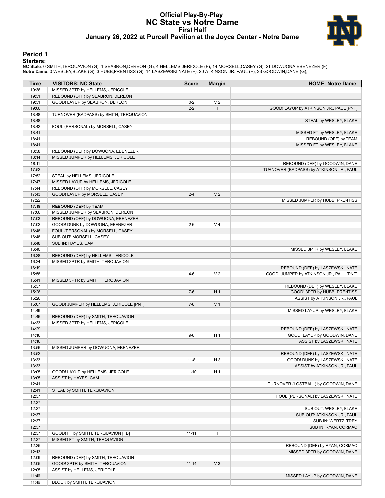#### **Official Play-By-Play NC State vs Notre Dame First Half January 26, 2022 at Purcell Pavilion at the Joyce Center - Notre Dame**



#### **Period 1**

<mark>Starters:</mark><br>NC State: 0 SMITH,TERQUAVION (G); 1 SEABRON,DEREON (G); 4 HELLEMS,JERICOLE (F); 14 MORSELL,CASEY (G); 21 DOWUONA,EBENEZER (F);<br>Notre Dame: 0 WESLEY,BLAKE (G); 3 HUBB,PRENTISS (G); 14 LASZEWSKI,NATE (F); 20 ATKI

| Time           | <b>VISITORS: NC State</b>                                        | <b>Score</b> | <b>Margin</b>  | <b>HOME: Notre Dame</b>                  |
|----------------|------------------------------------------------------------------|--------------|----------------|------------------------------------------|
| 19:36          | MISSED 3PTR by HELLEMS, JERICOLE                                 |              |                |                                          |
| 19:31          | REBOUND (OFF) by SEABRON, DEREON                                 |              |                |                                          |
| 19:31          | GOOD! LAYUP by SEABRON, DEREON                                   | $0 - 2$      | V <sub>2</sub> |                                          |
| 19:06          |                                                                  | $2 - 2$      | T              | GOOD! LAYUP by ATKINSON JR., PAUL [PNT]  |
| 18:48          | TURNOVER (BADPASS) by SMITH, TERQUAVION                          |              |                |                                          |
| 18:48          |                                                                  |              |                | STEAL by WESLEY, BLAKE                   |
| 18:42          | FOUL (PERSONAL) by MORSELL, CASEY                                |              |                |                                          |
| 18:41          |                                                                  |              |                | MISSED FT by WESLEY, BLAKE               |
| 18:41          |                                                                  |              |                | REBOUND (OFF) by TEAM                    |
| 18:41          |                                                                  |              |                | MISSED FT by WESLEY, BLAKE               |
| 18:38          | REBOUND (DEF) by DOWUONA, EBENEZER                               |              |                |                                          |
| 18:14          | MISSED JUMPER by HELLEMS, JERICOLE                               |              |                |                                          |
| 18:11          |                                                                  |              |                | REBOUND (DEF) by GOODWIN, DANE           |
| 17:52          |                                                                  |              |                | TURNOVER (BADPASS) by ATKINSON JR., PAUL |
| 17:52          | STEAL by HELLEMS, JERICOLE                                       |              |                |                                          |
| 17:47          | MISSED LAYUP by HELLEMS, JERICOLE                                |              |                |                                          |
| 17:44<br>17:43 | REBOUND (OFF) by MORSELL, CASEY<br>GOOD! LAYUP by MORSELL, CASEY | $2 - 4$      | V <sub>2</sub> |                                          |
| 17:22          |                                                                  |              |                |                                          |
| 17:18          | REBOUND (DEF) by TEAM                                            |              |                | MISSED JUMPER by HUBB, PRENTISS          |
| 17:06          | MISSED JUMPER by SEABRON, DEREON                                 |              |                |                                          |
| 17:03          | REBOUND (OFF) by DOWUONA, EBENEZER                               |              |                |                                          |
| 17:02          | GOOD! DUNK by DOWUONA, EBENEZER                                  | $2 - 6$      | V <sub>4</sub> |                                          |
| 16:48          | FOUL (PERSONAL) by MORSELL, CASEY                                |              |                |                                          |
| 16:48          | SUB OUT: MORSELL, CASEY                                          |              |                |                                          |
| 16:48          | SUB IN: HAYES, CAM                                               |              |                |                                          |
| 16:40          |                                                                  |              |                | MISSED 3PTR by WESLEY, BLAKE             |
| 16:38          | REBOUND (DEF) by HELLEMS, JERICOLE                               |              |                |                                          |
| 16:24          | MISSED 3PTR by SMITH, TERQUAVION                                 |              |                |                                          |
| 16:19          |                                                                  |              |                | REBOUND (DEF) by LASZEWSKI, NATE         |
| 15:58          |                                                                  | $4 - 6$      | V <sub>2</sub> | GOOD! JUMPER by ATKINSON JR., PAUL [PNT] |
| 15:41          | MISSED 3PTR by SMITH, TERQUAVION                                 |              |                |                                          |
| 15:37          |                                                                  |              |                | REBOUND (DEF) by WESLEY, BLAKE           |
| 15:26          |                                                                  | $7-6$        | H <sub>1</sub> | GOOD! 3PTR by HUBB, PRENTISS             |
| 15:26          |                                                                  |              |                | ASSIST by ATKINSON JR., PAUL             |
| 15:07          | GOOD! JUMPER by HELLEMS, JERICOLE [PNT]                          | $7 - 8$      | V <sub>1</sub> |                                          |
| 14:49          |                                                                  |              |                | MISSED LAYUP by WESLEY, BLAKE            |
| 14:46          | REBOUND (DEF) by SMITH, TERQUAVION                               |              |                |                                          |
| 14:33          | MISSED 3PTR by HELLEMS, JERICOLE                                 |              |                |                                          |
| 14:29          |                                                                  |              |                | REBOUND (DEF) by LASZEWSKI, NATE         |
| 14:16          |                                                                  | $9 - 8$      | H <sub>1</sub> | GOOD! LAYUP by GOODWIN, DANE             |
| 14:16          |                                                                  |              |                | ASSIST by LASZEWSKI, NATE                |
| 13:56          | MISSED JUMPER by DOWUONA, EBENEZER                               |              |                |                                          |
| 13:52          |                                                                  |              |                | REBOUND (DEF) by LASZEWSKI, NATE         |
| 13:33          |                                                                  | $11 - 8$     | H <sub>3</sub> | GOOD! DUNK by LASZEWSKI, NATE            |
| 13:33          |                                                                  |              |                | ASSIST by ATKINSON JR., PAUL             |
| 13:05<br>13:05 | GOOD! LAYUP by HELLEMS, JERICOLE<br>ASSIST by HAYES, CAM         | $11 - 10$    | H <sub>1</sub> |                                          |
| 12:41          |                                                                  |              |                | TURNOVER (LOSTBALL) by GOODWIN, DANE     |
| 12:41          | STEAL by SMITH, TERQUAVION                                       |              |                |                                          |
| 12:37          |                                                                  |              |                | FOUL (PERSONAL) by LASZEWSKI, NATE       |
| 12:37          |                                                                  |              |                |                                          |
| 12:37          |                                                                  |              |                | SUB OUT: WESLEY, BLAKE                   |
| 12:37          |                                                                  |              |                | SUB OUT: ATKINSON JR., PAUL              |
| 12:37          |                                                                  |              |                | SUB IN: WERTZ, TREY                      |
| 12:37          |                                                                  |              |                | SUB IN: RYAN, CORMAC                     |
| 12:37          | GOOD! FT by SMITH, TERQUAVION [FB]                               | $11 - 11$    | Τ              |                                          |
| 12:37          | MISSED FT by SMITH, TERQUAVION                                   |              |                |                                          |
| 12:35          |                                                                  |              |                | REBOUND (DEF) by RYAN, CORMAC            |
| 12:13          |                                                                  |              |                | MISSED 3PTR by GOODWIN, DANE             |
| 12:09          | REBOUND (DEF) by SMITH, TERQUAVION                               |              |                |                                          |
| 12:05          | GOOD! 3PTR by SMITH, TERQUAVION                                  | $11 - 14$    | $V_3$          |                                          |
| 12:05          | ASSIST by HELLEMS, JERICOLE                                      |              |                |                                          |
| 11:46          |                                                                  |              |                | MISSED LAYUP by GOODWIN, DANE            |
| 11:46          | BLOCK by SMITH, TERQUAVION                                       |              |                |                                          |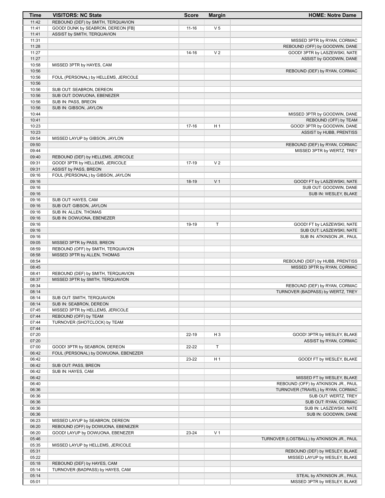| Time           | <b>VISITORS: NC State</b>                                              | <b>Score</b> | <b>Margin</b>  | <b>HOME: Notre Dame</b>                   |
|----------------|------------------------------------------------------------------------|--------------|----------------|-------------------------------------------|
| 11:42          | REBOUND (DEF) by SMITH, TERQUAVION                                     |              |                |                                           |
| 11:41          | GOOD! DUNK by SEABRON, DEREON [FB]                                     | $11 - 16$    | V <sub>5</sub> |                                           |
| 11:41          | ASSIST by SMITH, TERQUAVION                                            |              |                |                                           |
| 11:31          |                                                                        |              |                | MISSED 3PTR by RYAN, CORMAC               |
| 11:28          |                                                                        |              |                | REBOUND (OFF) by GOODWIN, DANE            |
| 11:27          |                                                                        | $14 - 16$    | V <sub>2</sub> | GOOD! 3PTR by LASZEWSKI, NATE             |
| 11:27<br>10:58 | MISSED 3PTR by HAYES, CAM                                              |              |                | ASSIST by GOODWIN, DANE                   |
| 10:56          |                                                                        |              |                | REBOUND (DEF) by RYAN, CORMAC             |
| 10:56          | FOUL (PERSONAL) by HELLEMS, JERICOLE                                   |              |                |                                           |
| 10:56          |                                                                        |              |                |                                           |
| 10:56          | SUB OUT: SEABRON, DEREON                                               |              |                |                                           |
| 10:56          | SUB OUT: DOWUONA, EBENEZER                                             |              |                |                                           |
| 10:56          | SUB IN: PASS, BREON                                                    |              |                |                                           |
| 10:56          | SUB IN: GIBSON, JAYLON                                                 |              |                |                                           |
| 10:44          |                                                                        |              |                | MISSED 3PTR by GOODWIN, DANE              |
| 10:41          |                                                                        |              |                | REBOUND (OFF) by TEAM                     |
| 10:23          |                                                                        | $17 - 16$    | H <sub>1</sub> | GOOD! 3PTR by GOODWIN, DANE               |
| 10:23          |                                                                        |              |                | ASSIST by HUBB, PRENTISS                  |
| 09:54          | MISSED LAYUP by GIBSON, JAYLON                                         |              |                |                                           |
| 09:50          |                                                                        |              |                | REBOUND (DEF) by RYAN, CORMAC             |
| 09:44          |                                                                        |              |                | MISSED 3PTR by WERTZ, TREY                |
| 09:40          | REBOUND (DEF) by HELLEMS, JERICOLE                                     |              |                |                                           |
| 09:31<br>09:31 | GOOD! 3PTR by HELLEMS, JERICOLE                                        | 17-19        | V <sub>2</sub> |                                           |
| 09:16          | ASSIST by PASS, BREON<br>FOUL (PERSONAL) by GIBSON, JAYLON             |              |                |                                           |
| 09:16          |                                                                        | 18-19        | V <sub>1</sub> | GOOD! FT by LASZEWSKI, NATE               |
| 09:16          |                                                                        |              |                | SUB OUT: GOODWIN, DANE                    |
| 09:16          |                                                                        |              |                | SUB IN: WESLEY, BLAKE                     |
| 09:16          | SUB OUT: HAYES, CAM                                                    |              |                |                                           |
| 09:16          | SUB OUT: GIBSON, JAYLON                                                |              |                |                                           |
| 09:16          | SUB IN: ALLEN, THOMAS                                                  |              |                |                                           |
| 09:16          | SUB IN: DOWUONA, EBENEZER                                              |              |                |                                           |
| 09:16          |                                                                        | 19-19        | Т              | GOOD! FT by LASZEWSKI, NATE               |
| 09:16          |                                                                        |              |                | SUB OUT: LASZEWSKI, NATE                  |
| 09:16          |                                                                        |              |                | SUB IN: ATKINSON JR., PAUL                |
| 09:05          | MISSED 3PTR by PASS, BREON                                             |              |                |                                           |
| 08:59          | REBOUND (OFF) by SMITH, TERQUAVION                                     |              |                |                                           |
| 08:58          | MISSED 3PTR by ALLEN, THOMAS                                           |              |                |                                           |
| 08:54          |                                                                        |              |                | REBOUND (DEF) by HUBB, PRENTISS           |
| 08:45<br>08:41 |                                                                        |              |                | MISSED 3PTR by RYAN, CORMAC               |
| 08:37          | REBOUND (DEF) by SMITH, TERQUAVION<br>MISSED 3PTR by SMITH, TERQUAVION |              |                |                                           |
| 08:34          |                                                                        |              |                | REBOUND (DEF) by RYAN, CORMAC             |
| 08:14          |                                                                        |              |                | TURNOVER (BADPASS) by WERTZ, TREY         |
| 08:14          | SUB OUT: SMITH, TERQUAVION                                             |              |                |                                           |
| 08:14          | SUB IN: SEABRON, DEREON                                                |              |                |                                           |
| 07:45          | MISSED 3PTR by HELLEMS, JERICOLE                                       |              |                |                                           |
| 07:44          | REBOUND (OFF) by TEAM                                                  |              |                |                                           |
| 07:44          | TURNOVER (SHOTCLOCK) by TEAM                                           |              |                |                                           |
| 07:44          |                                                                        |              |                |                                           |
| 07:20          |                                                                        | $22 - 19$    | $H_3$          | GOOD! 3PTR by WESLEY, BLAKE               |
| 07:20          |                                                                        |              |                | ASSIST by RYAN, CORMAC                    |
| 07:00          | GOOD! 3PTR by SEABRON, DEREON                                          | 22-22        | T              |                                           |
| 06:42          | FOUL (PERSONAL) by DOWUONA, EBENEZER                                   |              |                |                                           |
| 06:42          |                                                                        | 23-22        | H <sub>1</sub> | GOOD! FT by WESLEY, BLAKE                 |
| 06:42          | SUB OUT: PASS, BREON                                                   |              |                |                                           |
| 06:42<br>06:42 | SUB IN: HAYES, CAM                                                     |              |                | MISSED FT by WESLEY, BLAKE                |
| 06:40          |                                                                        |              |                | REBOUND (OFF) by ATKINSON JR., PAUL       |
| 06:36          |                                                                        |              |                | TURNOVER (TRAVEL) by RYAN, CORMAC         |
| 06:36          |                                                                        |              |                | SUB OUT: WERTZ, TREY                      |
| 06:36          |                                                                        |              |                | SUB OUT: RYAN, CORMAC                     |
| 06:36          |                                                                        |              |                | SUB IN: LASZEWSKI, NATE                   |
| 06:36          |                                                                        |              |                | SUB IN: GOODWIN, DANE                     |
| 06:23          | MISSED LAYUP by SEABRON, DEREON                                        |              |                |                                           |
| 06:20          | REBOUND (OFF) by DOWUONA, EBENEZER                                     |              |                |                                           |
| 06:20          | GOOD! LAYUP by DOWUONA, EBENEZER                                       | 23-24        | V <sub>1</sub> |                                           |
| 05:46          |                                                                        |              |                | TURNOVER (LOSTBALL) by ATKINSON JR., PAUL |
| 05:35          | MISSED LAYUP by HELLEMS, JERICOLE                                      |              |                |                                           |
| 05:31          |                                                                        |              |                | REBOUND (DEF) by WESLEY, BLAKE            |
| 05:22          |                                                                        |              |                | MISSED LAYUP by WESLEY, BLAKE             |
| 05:18          | REBOUND (DEF) by HAYES, CAM                                            |              |                |                                           |
| 05:14          | TURNOVER (BADPASS) by HAYES, CAM                                       |              |                |                                           |
| 05:14          |                                                                        |              |                | STEAL by ATKINSON JR., PAUL               |
| 05:01          |                                                                        |              |                | MISSED 3PTR by WESLEY, BLAKE              |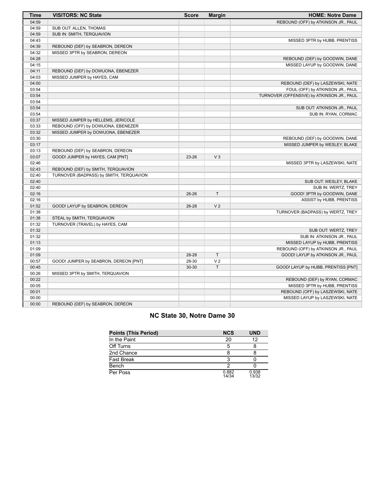| <b>Time</b> | <b>VISITORS: NC State</b>               | <b>Score</b> | <b>Margin</b>  | <b>HOME: Notre Dame</b>                    |
|-------------|-----------------------------------------|--------------|----------------|--------------------------------------------|
| 04:59       |                                         |              |                | REBOUND (OFF) by ATKINSON JR., PAUL        |
| 04:59       | SUB OUT: ALLEN, THOMAS                  |              |                |                                            |
| 04:59       | SUB IN: SMITH, TERQUAVION               |              |                |                                            |
| 04:43       |                                         |              |                | MISSED 3PTR by HUBB, PRENTISS              |
| 04:39       | REBOUND (DEF) by SEABRON, DEREON        |              |                |                                            |
| 04:32       | MISSED 3PTR by SEABRON, DEREON          |              |                |                                            |
| 04:28       |                                         |              |                | REBOUND (DEF) by GOODWIN, DANE             |
| 04:15       |                                         |              |                | MISSED LAYUP by GOODWIN, DANE              |
| 04:11       | REBOUND (DEF) by DOWUONA, EBENEZER      |              |                |                                            |
| 04:03       | MISSED JUMPER by HAYES, CAM             |              |                |                                            |
| 04:00       |                                         |              |                | REBOUND (DEF) by LASZEWSKI, NATE           |
| 03:54       |                                         |              |                | FOUL (OFF) by ATKINSON JR., PAUL           |
| 03:54       |                                         |              |                | TURNOVER (OFFENSIVE) by ATKINSON JR., PAUL |
| 03:54       |                                         |              |                |                                            |
| 03:54       |                                         |              |                | SUB OUT: ATKINSON JR., PAUL                |
| 03:54       |                                         |              |                | SUB IN: RYAN, CORMAC                       |
| 03:37       | MISSED JUMPER by HELLEMS, JERICOLE      |              |                |                                            |
| 03:33       | REBOUND (OFF) by DOWUONA, EBENEZER      |              |                |                                            |
| 03:32       | MISSED JUMPER by DOWUONA, EBENEZER      |              |                |                                            |
| 03:30       |                                         |              |                | REBOUND (DEF) by GOODWIN, DANE             |
| 03:17       |                                         |              |                | MISSED JUMPER by WESLEY, BLAKE             |
| 03:13       | REBOUND (DEF) by SEABRON, DEREON        |              |                |                                            |
| 03:07       | GOOD! JUMPER by HAYES, CAM [PNT]        | 23-26        | $V_3$          |                                            |
| 02:46       |                                         |              |                | MISSED 3PTR by LASZEWSKI, NATE             |
| 02:43       | REBOUND (DEF) by SMITH, TERQUAVION      |              |                |                                            |
| 02:40       | TURNOVER (BADPASS) by SMITH, TERQUAVION |              |                |                                            |
| 02:40       |                                         |              |                | SUB OUT: WESLEY, BLAKE                     |
| 02:40       |                                         |              |                | SUB IN: WERTZ, TREY                        |
| 02:16       |                                         | 26-26        | T              | GOOD! 3PTR by GOODWIN, DANE                |
| 02:16       |                                         |              |                | ASSIST by HUBB, PRENTISS                   |
| 01:52       | GOOD! LAYUP by SEABRON, DEREON          | 26-28        | V <sub>2</sub> |                                            |
| 01:38       |                                         |              |                | TURNOVER (BADPASS) by WERTZ, TREY          |
| 01:38       | STEAL by SMITH, TERQUAVION              |              |                |                                            |
| 01:32       | TURNOVER (TRAVEL) by HAYES, CAM         |              |                |                                            |
| 01:32       |                                         |              |                | SUB OUT: WERTZ, TREY                       |
| 01:32       |                                         |              |                | SUB IN: ATKINSON JR., PAUL                 |
| 01:13       |                                         |              |                | MISSED LAYUP by HUBB, PRENTISS             |
| 01:09       |                                         |              |                | REBOUND (OFF) by ATKINSON JR., PAUL        |
| 01:09       |                                         | 28-28        | T.             | GOOD! LAYUP by ATKINSON JR., PAUL          |
| 00:57       | GOOD! JUMPER by SEABRON, DEREON [PNT]   | 28-30        | V <sub>2</sub> |                                            |
| 00:45       |                                         | 30-30        | $\top$         | GOOD! LAYUP by HUBB, PRENTISS [PNT]        |
| 00:26       | MISSED 3PTR by SMITH, TERQUAVION        |              |                |                                            |
| 00:22       |                                         |              |                | REBOUND (DEF) by RYAN, CORMAC              |
| 00:05       |                                         |              |                | MISSED 3PTR by HUBB, PRENTISS              |
| 00:01       |                                         |              |                | REBOUND (OFF) by LASZEWSKI, NATE           |
| 00:00       |                                         |              |                | MISSED LAYUP by LASZEWSKI, NATE            |
| 00:00       | REBOUND (DEF) by SEABRON, DEREON        |              |                |                                            |

# **NC State 30, Notre Dame 30**

| <b>Points (This Period)</b> | <b>NCS</b>     | <b>UND</b>     |
|-----------------------------|----------------|----------------|
| In the Paint                | 20             | 12             |
| Off Turns                   | 5              |                |
| 2nd Chance                  |                |                |
| <b>Fast Break</b>           |                |                |
| Bench                       |                |                |
| Per Poss                    | 0.882<br>14/34 | 0.938<br>13/32 |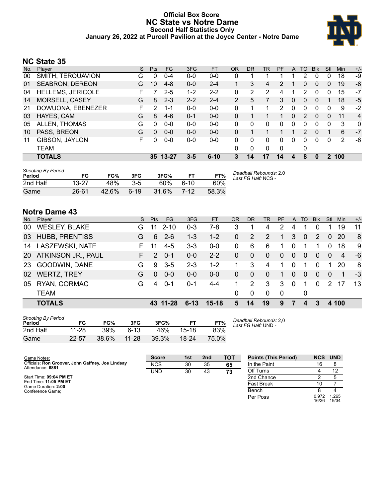### **Official Box Score NC State vs Notre Dame Second Half Statistics Only January 26, 2022 at Purcell Pavilion at the Joyce Center - Notre Dame**



# **NC State 35**

| No. | Plaver                   | S  | <b>Pts</b> | <b>FG</b> | 3FG     | <b>FT</b> | <b>OR</b>      | <b>DR</b> | <b>TR</b> | <b>PF</b>      | A        | TO            | <b>B</b> lk  | Stl          | Min | $+/-$          |
|-----|--------------------------|----|------------|-----------|---------|-----------|----------------|-----------|-----------|----------------|----------|---------------|--------------|--------------|-----|----------------|
| 00  | SMITH, TERQUAVION        | G  | 0          | $0 - 4$   | $0 - 0$ | $0 - 0$   | 0              |           |           |                |          | 2             | 0            | 0            | 18  | -9             |
| 01  | <b>SEABRON, DEREON</b>   | G  | 10         | $4 - 8$   | $0 - 0$ | $2 - 4$   |                | 3         | 4         | $\overline{2}$ |          | 0             | $\mathbf{0}$ | $\mathbf{0}$ | 19  | -8             |
| 04  | <b>HELLEMS, JERICOLE</b> | F  |            | 2-5       | $1 - 2$ | $2 - 2$   | 0              | 2         | 2         | 4              | 1        | 2             | 0            | 0            | 15  | $-7$           |
| 14  | MORSELL, CASEY           | G  | 8          | $2 - 3$   | $2 - 2$ | $2 - 4$   | $\overline{2}$ | 5         |           | 3              | 0        | $\Omega$      | $\Omega$     |              | 18  | -5             |
| 21  | DOWUONA, EBENEZER        | F. | 2          | $1 - 1$   | $0 - 0$ | $0 - 0$   | 0              | 1         |           | 2              | $\Omega$ | 0             | 0            | $\Omega$     | 9   | $-2$           |
| 03  | HAYES, CAM               | G  | 8          | $4-6$     | $0 - 1$ | $0 - 0$   | 0              |           |           | 1              | 0        | $\mathcal{P}$ | $\Omega$     | 0            | 11  | $\overline{4}$ |
| 05  | ALLEN, THOMAS            | G  | 0          | $0 - 0$   | $0 - 0$ | $0 - 0$   | 0              | 0         | 0         | 0              | 0        | 0             | 0            | 0            | 3   | 0              |
| 10  | PASS, BREON              | G  | $\Omega$   | $0 - 0$   | $0 - 0$ | $0 - 0$   | 0              |           |           |                |          | $\mathcal{P}$ | $\Omega$     |              | 6   | $-7$           |
| 11  | GIBSON, JAYLON           | F. | 0          | $0 - 0$   | $0-0$   | $0 - 0$   | 0              | 0         | 0         | 0              | 0        | 0             | 0            | 0            | 2   | -6             |
|     | <b>TEAM</b>              |    |            |           |         |           | 0              | 0         | $\Omega$  | 0              |          | 0             |              |              |     |                |
|     | <b>TOTALS</b>            |    |            | 35 13-27  | $3 - 5$ | $6 - 10$  | 3              | 14        | 17        | 14             | 4        | 8             | $\mathbf{0}$ | $\mathbf 2$  | 100 |                |

| <b>Shooting By Period</b><br>Period | FG        | FG%   | 3FG      | 3FG%  |      | FT%   | Deadball Rebounds: 2,0<br>Last FG Half: NCS - |
|-------------------------------------|-----------|-------|----------|-------|------|-------|-----------------------------------------------|
| 2nd Half                            | $13-27$   | 48%   | $3 - 5$  | 60%   | 6-10 | 60%   |                                               |
| Game                                | $26 - 61$ | 42.6% | $6 - 19$ | 31.6% | 7-12 | 58.3% |                                               |

# **Notre Dame 43**

| No. | Player                | S. | <b>Pts</b>    | <b>FG</b> | 3FG      | <b>FT</b> | OR             | <b>DR</b>    | TR             | <b>PF</b>    | A              | <b>TO</b>    | <b>BIK</b>     | Stl           | Min         | $+/-$ |
|-----|-----------------------|----|---------------|-----------|----------|-----------|----------------|--------------|----------------|--------------|----------------|--------------|----------------|---------------|-------------|-------|
| 00  | <b>WESLEY, BLAKE</b>  | G  | 11            | $2 - 10$  | $0 - 3$  | $7-8$     | 3              |              | 4              | 2            | 4              |              |                |               | 19          | 11    |
| 03  | <b>HUBB, PRENTISS</b> | G  | 6             | $2 - 6$   | $1 - 3$  | $1 - 2$   | $\mathbf{0}$   | 2            | 2              | 1.           | 3              | $\Omega$     | 2              | $\Omega$      | 20          | -8    |
| 14  | LASZEWSKI, NATE       | F. | 11            | $4-5$     | $3 - 3$  | $0 - 0$   | 0              | 6            | 6              | 1.           | 0              |              |                | 0             | 18          | -9    |
|     | 20 ATKINSON JR., PAUL |    | $\mathcal{P}$ | $0 - 1$   | $0 - 0$  | $2 - 2$   | $\mathbf{0}$   | $\mathbf 0$  | $\mathbf{0}$   | $\mathbf{0}$ | $\overline{0}$ | $\mathbf{0}$ | $\overline{0}$ | $\Omega$      | 4           | -6    |
| -23 | GOODWIN, DANE         | G  | 9             | $3 - 5$   | $2 - 3$  | $1 - 2$   | 1              | 3            | $\overline{4}$ | 1            | $\Omega$       | 1            | $\Omega$       |               | 20          | -8    |
| 02  | <b>WERTZ, TREY</b>    | G  | $\Omega$      | $0 - 0$   | $0 - 0$  | $0 - 0$   | $\overline{0}$ | $\mathbf{0}$ | $\Omega$       | 1.           | $\overline{0}$ | $\Omega$     | $\Omega$       | $\Omega$      | $\mathbf 1$ | -3    |
| 05  | RYAN, CORMAC          | G  | 4             | $0 - 1$   | $0 - 1$  | $4 - 4$   | 1              | 2            | 3              | 3            | $\Omega$       | 1            | $\Omega$       | $\mathcal{P}$ |             | 13    |
|     | <b>TEAM</b>           |    |               |           |          |           | $\Omega$       | 0            | $\Omega$       | $\Omega$     |                | 0            |                |               |             |       |
|     | <b>TOTALS</b>         |    |               | 43 11-28  | $6 - 13$ | $15-18$   | 5              | 14           | 19             | 9            | 7              | 4            | 3              |               | 4 100       |       |
|     |                       |    |               |           |          |           |                |              |                |              |                |              |                |               |             |       |

| <b>Shooting By Period</b><br>Period | FG        | FG%   | 3FG       | 3FG%  | FТ        | FT%   |
|-------------------------------------|-----------|-------|-----------|-------|-----------|-------|
| 2nd Half                            | 11-28     | 39%   | $6-13$    | 46%   | 15-18     | 83%   |
| Game                                | $22 - 57$ | 38.6% | $11 - 28$ | 39.3% | $18 - 24$ | 75.0% |

*Deadball Rebounds:* 2,0 *Last FG Half:* UND -

16/36 1.265 19/34

| Game Notes:                                       | <b>Score</b> | 1st | 2 <sub>nd</sub> | <b>TOT</b> | <b>Points (This Period)</b> | <b>NCS UND</b> |      |
|---------------------------------------------------|--------------|-----|-----------------|------------|-----------------------------|----------------|------|
| Officials: Ron Groover, John Gaffney, Joe Lindsay | <b>NCS</b>   | 30  | 35              | 65         | In the Paint                | 16             |      |
| Attendance: 6881                                  | <b>UND</b>   | 30  | 43              | 73         | Off Turns                   |                |      |
| Start Time: 09:04 PM ET                           |              |     |                 |            | 2nd Chance                  |                |      |
| End Time: 11:05 PM ET<br>Game Duration: 2:00      |              |     |                 |            | Fast Break                  |                |      |
| Conference Game:                                  |              |     |                 |            | Bench                       |                |      |
|                                                   |              |     |                 |            | Per Poss                    | 0.972          | .265 |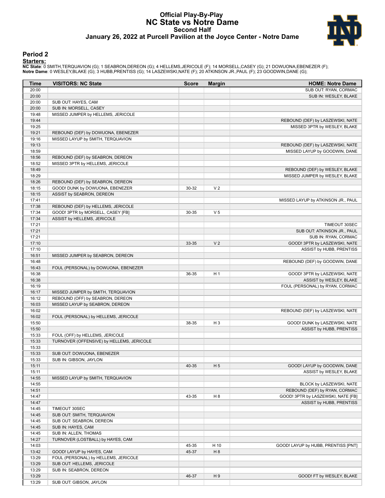#### **Official Play-By-Play NC State vs Notre Dame Second Half January 26, 2022 at Purcell Pavilion at the Joyce Center - Notre Dame**



#### **Period 2**

<mark>Starters:</mark><br>NC State: 0 SMITH,TERQUAVION (G); 1 SEABRON,DEREON (G); 4 HELLEMS,JERICOLE (F); 14 MORSELL,CASEY (G); 21 DOWUONA,EBENEZER (F);<br>Notre Dame: 0 WESLEY,BLAKE (G); 3 HUBB,PRENTISS (G); 14 LASZEWSKI,NATE (F); 20 ATKI

| Time  | <b>VISITORS: NC State</b>                 | <b>Score</b> | <b>Margin</b>  | <b>HOME: Notre Dame</b>             |
|-------|-------------------------------------------|--------------|----------------|-------------------------------------|
| 20:00 |                                           |              |                | SUB OUT: RYAN, CORMAC               |
| 20:00 |                                           |              |                | SUB IN: WESLEY, BLAKE               |
| 20:00 | SUB OUT: HAYES, CAM                       |              |                |                                     |
| 20:00 | SUB IN: MORSELL, CASEY                    |              |                |                                     |
| 19:48 | MISSED JUMPER by HELLEMS, JERICOLE        |              |                |                                     |
| 19:44 |                                           |              |                | REBOUND (DEF) by LASZEWSKI, NATE    |
| 19:25 |                                           |              |                | MISSED 3PTR by WESLEY, BLAKE        |
| 19:21 | REBOUND (DEF) by DOWUONA, EBENEZER        |              |                |                                     |
| 19:16 | MISSED LAYUP by SMITH, TERQUAVION         |              |                |                                     |
| 19:13 |                                           |              |                | REBOUND (DEF) by LASZEWSKI, NATE    |
| 18:59 |                                           |              |                | MISSED LAYUP by GOODWIN, DANE       |
| 18:56 | REBOUND (DEF) by SEABRON, DEREON          |              |                |                                     |
| 18:52 | MISSED 3PTR by HELLEMS, JERICOLE          |              |                |                                     |
| 18:49 |                                           |              |                | REBOUND (DEF) by WESLEY, BLAKE      |
| 18:29 |                                           |              |                | MISSED JUMPER by WESLEY, BLAKE      |
| 18:26 | REBOUND (DEF) by SEABRON, DEREON          |              |                |                                     |
| 18:15 | GOOD! DUNK by DOWUONA, EBENEZER           | 30-32        | V <sub>2</sub> |                                     |
| 18:15 | ASSIST by SEABRON, DEREON                 |              |                |                                     |
| 17:41 |                                           |              |                | MISSED LAYUP by ATKINSON JR., PAUL  |
| 17:38 | REBOUND (DEF) by HELLEMS, JERICOLE        |              |                |                                     |
| 17:34 | GOOD! 3PTR by MORSELL, CASEY [FB]         | 30-35        | V <sub>5</sub> |                                     |
| 17:34 | ASSIST by HELLEMS, JERICOLE               |              |                |                                     |
| 17:21 |                                           |              |                | TIMEOUT 30SEC                       |
| 17:21 |                                           |              |                | SUB OUT: ATKINSON JR., PAUL         |
| 17:21 |                                           |              |                | SUB IN: RYAN, CORMAC                |
| 17:10 |                                           | 33-35        | V <sub>2</sub> | GOOD! 3PTR by LASZEWSKI, NATE       |
| 17:10 |                                           |              |                | ASSIST by HUBB, PRENTISS            |
| 16:51 | MISSED JUMPER by SEABRON, DEREON          |              |                |                                     |
| 16:48 |                                           |              |                |                                     |
| 16:43 |                                           |              |                | REBOUND (DEF) by GOODWIN, DANE      |
|       | FOUL (PERSONAL) by DOWUONA, EBENEZER      |              |                |                                     |
| 16:38 |                                           | 36-35        | H <sub>1</sub> | GOOD! 3PTR by LASZEWSKI, NATE       |
| 16:38 |                                           |              |                | ASSIST by WESLEY, BLAKE             |
| 16:19 |                                           |              |                | FOUL (PERSONAL) by RYAN, CORMAC     |
| 16:17 | MISSED JUMPER by SMITH, TERQUAVION        |              |                |                                     |
| 16:12 | REBOUND (OFF) by SEABRON, DEREON          |              |                |                                     |
| 16:03 | MISSED LAYUP by SEABRON, DEREON           |              |                |                                     |
| 16:02 |                                           |              |                | REBOUND (DEF) by LASZEWSKI, NATE    |
| 16:02 | FOUL (PERSONAL) by HELLEMS, JERICOLE      |              |                |                                     |
| 15:50 |                                           | 38-35        | $H_3$          | GOOD! DUNK by LASZEWSKI, NATE       |
| 15:50 |                                           |              |                | ASSIST by HUBB, PRENTISS            |
| 15:33 | FOUL (OFF) by HELLEMS, JERICOLE           |              |                |                                     |
| 15:33 | TURNOVER (OFFENSIVE) by HELLEMS, JERICOLE |              |                |                                     |
| 15:33 |                                           |              |                |                                     |
| 15:33 | SUB OUT: DOWUONA, EBENEZER                |              |                |                                     |
| 15:33 | SUB IN: GIBSON, JAYLON                    |              |                |                                     |
| 15:11 |                                           | 40-35        | H <sub>5</sub> | GOOD! LAYUP by GOODWIN, DANE        |
| 15:11 |                                           |              |                | ASSIST by WESLEY, BLAKE             |
| 14:55 | MISSED LAYUP by SMITH, TERQUAVION         |              |                |                                     |
| 14:55 |                                           |              |                | BLOCK by LASZEWSKI, NATE            |
| 14:51 |                                           |              |                | REBOUND (DEF) by RYAN, CORMAC       |
| 14:47 |                                           | 43-35        | H <sub>8</sub> | GOOD! 3PTR by LASZEWSKI, NATE [FB]  |
| 14:47 |                                           |              |                | ASSIST by HUBB, PRENTISS            |
| 14:45 | TIMEOUT 30SEC                             |              |                |                                     |
| 14:45 | SUB OUT: SMITH, TERQUAVION                |              |                |                                     |
| 14:45 | SUB OUT: SEABRON, DEREON                  |              |                |                                     |
| 14:45 | SUB IN: HAYES, CAM                        |              |                |                                     |
| 14:45 | SUB IN: ALLEN, THOMAS                     |              |                |                                     |
| 14:27 | TURNOVER (LOSTBALL) by HAYES, CAM         |              |                |                                     |
| 14:03 |                                           | 45-35        | H 10           | GOOD! LAYUP by HUBB, PRENTISS [PNT] |
| 13:42 | GOOD! LAYUP by HAYES, CAM                 | 45-37        | H <sub>8</sub> |                                     |
| 13:29 | FOUL (PERSONAL) by HELLEMS, JERICOLE      |              |                |                                     |
| 13:29 | SUB OUT: HELLEMS, JERICOLE                |              |                |                                     |
| 13:29 | SUB IN: SEABRON, DEREON                   |              |                |                                     |
| 13:29 |                                           | 46-37        | H9             | GOOD! FT by WESLEY, BLAKE           |
| 13:29 | SUB OUT: GIBSON, JAYLON                   |              |                |                                     |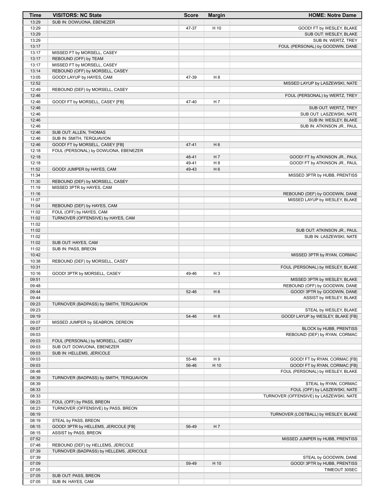| Time           | <b>VISITORS: NC State</b>                               | <b>Score</b> | <b>Margin</b>  | <b>HOME: Notre Dame</b>                 |
|----------------|---------------------------------------------------------|--------------|----------------|-----------------------------------------|
| 13:29          | SUB IN: DOWUONA, EBENEZER                               |              |                |                                         |
| 13:29          |                                                         | 47-37        | H 10           | GOOD! FT by WESLEY, BLAKE               |
| 13:29          |                                                         |              |                | SUB OUT: WESLEY, BLAKE                  |
| 13:29          |                                                         |              |                | SUB IN: WERTZ, TREY                     |
| 13:17          |                                                         |              |                | FOUL (PERSONAL) by GOODWIN, DANE        |
| 13:17          | MISSED FT by MORSELL, CASEY                             |              |                |                                         |
| 13:17          | REBOUND (OFF) by TEAM                                   |              |                |                                         |
| 13:17          | MISSED FT by MORSELL, CASEY                             |              |                |                                         |
| 13:14          | REBOUND (OFF) by MORSELL, CASEY                         |              |                |                                         |
| 13:05          | GOOD! LAYUP by HAYES, CAM                               | 47-39        | H <sub>8</sub> |                                         |
| 12:52          |                                                         |              |                | MISSED LAYUP by LASZEWSKI, NATE         |
| 12:49          | REBOUND (DEF) by MORSELL, CASEY                         |              |                |                                         |
| 12:46          |                                                         |              |                | FOUL (PERSONAL) by WERTZ, TREY          |
| 12:46          | GOOD! FT by MORSELL, CASEY [FB]                         | 47-40        | H <sub>7</sub> |                                         |
| 12:46          |                                                         |              |                | SUB OUT: WERTZ, TREY                    |
| 12:46          |                                                         |              |                | SUB OUT: LASZEWSKI, NATE                |
| 12:46<br>12:46 |                                                         |              |                | SUB IN: WESLEY, BLAKE                   |
| 12:46          | SUB OUT: ALLEN, THOMAS                                  |              |                | SUB IN: ATKINSON JR., PAUL              |
| 12:46          | SUB IN: SMITH, TERQUAVION                               |              |                |                                         |
| 12:46          | GOOD! FT by MORSELL, CASEY [FB]                         | 47-41        | H <sub>6</sub> |                                         |
| 12:18          | FOUL (PERSONAL) by DOWUONA, EBENEZER                    |              |                |                                         |
| 12:18          |                                                         | 48-41        | H <sub>7</sub> | GOOD! FT by ATKINSON JR., PAUL          |
| 12:18          |                                                         | 49-41        | H <sub>8</sub> | GOOD! FT by ATKINSON JR., PAUL          |
| 11:52          | GOOD! JUMPER by HAYES, CAM                              | 49-43        | H <sub>6</sub> |                                         |
| 11:34          |                                                         |              |                | MISSED 3PTR by HUBB, PRENTISS           |
| 11:30          | REBOUND (DEF) by MORSELL, CASEY                         |              |                |                                         |
| 11:19          | MISSED 3PTR by HAYES, CAM                               |              |                |                                         |
| 11:16          |                                                         |              |                | REBOUND (DEF) by GOODWIN, DANE          |
| 11:07          |                                                         |              |                | MISSED LAYUP by WESLEY, BLAKE           |
| 11:04          | REBOUND (DEF) by HAYES, CAM                             |              |                |                                         |
| 11:02          | FOUL (OFF) by HAYES, CAM                                |              |                |                                         |
| 11:02          | TURNOVER (OFFENSIVE) by HAYES, CAM                      |              |                |                                         |
| 11:02          |                                                         |              |                |                                         |
| 11:02          |                                                         |              |                | SUB OUT: ATKINSON JR., PAUL             |
| 11:02          |                                                         |              |                | SUB IN: LASZEWSKI, NATE                 |
| 11:02          | SUB OUT: HAYES, CAM                                     |              |                |                                         |
| 11:02          | SUB IN: PASS, BREON                                     |              |                |                                         |
| 10:42          |                                                         |              |                | MISSED 3PTR by RYAN, CORMAC             |
| 10:38          | REBOUND (DEF) by MORSELL, CASEY                         |              |                |                                         |
| 10:31          |                                                         |              |                | FOUL (PERSONAL) by WESLEY, BLAKE        |
| 10:16          | GOOD! 3PTR by MORSELL, CASEY                            | 49-46        | H <sub>3</sub> |                                         |
| 09:51          |                                                         |              |                | MISSED 3PTR by WESLEY, BLAKE            |
| 09:48          |                                                         |              |                | REBOUND (OFF) by GOODWIN, DANE          |
| 09:44          |                                                         | 52-46        | H <sub>6</sub> | GOOD! 3PTR by GOODWIN, DANE             |
| 09:44          |                                                         |              |                | ASSIST by WESLEY, BLAKE                 |
| 09:23          | TURNOVER (BADPASS) by SMITH, TERQUAVION                 |              |                |                                         |
| 09:23          |                                                         |              |                | STEAL by WESLEY, BLAKE                  |
| 09:19          |                                                         | 54-46        | H <sub>8</sub> | GOOD! LAYUP by WESLEY, BLAKE [FB]       |
| 09:07          | MISSED JUMPER by SEABRON, DEREON                        |              |                |                                         |
| 09:07          |                                                         |              |                | <b>BLOCK by HUBB, PRENTISS</b>          |
| 09:03          |                                                         |              |                | REBOUND (DEF) by RYAN, CORMAC           |
| 09:03<br>09:03 | FOUL (PERSONAL) by MORSELL, CASEY                       |              |                |                                         |
| 09:03          | SUB OUT: DOWUONA, EBENEZER<br>SUB IN: HELLEMS, JERICOLE |              |                |                                         |
| 09:03          |                                                         | 55-46        | H9             | GOOD! FT by RYAN, CORMAC [FB]           |
| 09:03          |                                                         | 56-46        | H 10           | GOOD! FT by RYAN, CORMAC [FB]           |
| 08:48          |                                                         |              |                | FOUL (PERSONAL) by WESLEY, BLAKE        |
| 08:39          | TURNOVER (BADPASS) by SMITH, TERQUAVION                 |              |                |                                         |
| 08:39          |                                                         |              |                | STEAL by RYAN, CORMAC                   |
| 08:33          |                                                         |              |                | FOUL (OFF) by LASZEWSKI, NATE           |
| 08:33          |                                                         |              |                | TURNOVER (OFFENSIVE) by LASZEWSKI, NATE |
| 08:23          | FOUL (OFF) by PASS, BREON                               |              |                |                                         |
| 08:23          | TURNOVER (OFFENSIVE) by PASS, BREON                     |              |                |                                         |
| 08:19          |                                                         |              |                | TURNOVER (LOSTBALL) by WESLEY, BLAKE    |
| 08:19          | STEAL by PASS, BREON                                    |              |                |                                         |
| 08:15          | GOOD! 3PTR by HELLEMS, JERICOLE [FB]                    | 56-49        | H <sub>7</sub> |                                         |
| 08:15          | ASSIST by PASS, BREON                                   |              |                |                                         |
| 07:52          |                                                         |              |                | MISSED JUMPER by HUBB, PRENTISS         |
| 07:48          | REBOUND (DEF) by HELLEMS, JERICOLE                      |              |                |                                         |
| 07:39          | TURNOVER (BADPASS) by HELLEMS, JERICOLE                 |              |                |                                         |
| 07:39          |                                                         |              |                | STEAL by GOODWIN, DANE                  |
| 07:09          |                                                         | 59-49        | H 10           | GOOD! 3PTR by HUBB, PRENTISS            |
| 07:05          |                                                         |              |                | TIMEOUT 30SEC                           |
| 07:05          | SUB OUT: PASS, BREON                                    |              |                |                                         |
| 07:05          | SUB IN: HAYES, CAM                                      |              |                |                                         |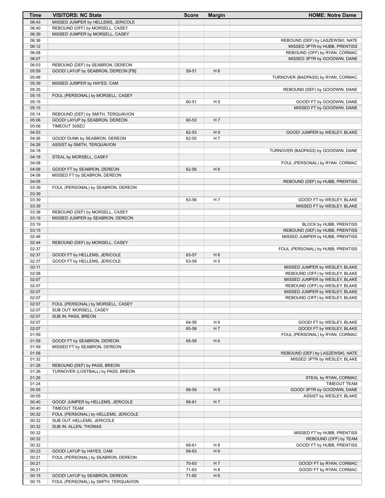| Time           | <b>VISITORS: NC State</b>                                            | <b>Score</b> | <b>Margin</b>  | <b>HOME: Notre Dame</b>               |
|----------------|----------------------------------------------------------------------|--------------|----------------|---------------------------------------|
| 06:43          | MISSED JUMPER by HELLEMS, JERICOLE                                   |              |                |                                       |
| 06:40          | REBOUND (OFF) by MORSELL, CASEY                                      |              |                |                                       |
| 06:39          | MISSED JUMPER by MORSELL, CASEY                                      |              |                |                                       |
| 06:36          |                                                                      |              |                | REBOUND (DEF) by LASZEWSKI, NATE      |
| 06:12          |                                                                      |              |                | MISSED 3PTR by HUBB, PRENTISS         |
| 06:08          |                                                                      |              |                | REBOUND (OFF) by RYAN, CORMAC         |
| 06:07          |                                                                      |              |                | MISSED 3PTR by GOODWIN, DANE          |
| 06:03          | REBOUND (DEF) by SEABRON, DEREON                                     |              |                |                                       |
| 05:59          | GOOD! LAYUP by SEABRON, DEREON [FB]                                  | 59-51        | H 8            |                                       |
| 05:48          |                                                                      |              |                | TURNOVER (BADPASS) by RYAN, CORMAC    |
| 05:39          | MISSED JUMPER by HAYES, CAM                                          |              |                |                                       |
| 05:35          |                                                                      |              |                | REBOUND (DEF) by GOODWIN, DANE        |
| 05:15          | FOUL (PERSONAL) by MORSELL, CASEY                                    |              |                |                                       |
| 05:15<br>05:15 |                                                                      | 60-51        | H9             | GOOD! FT by GOODWIN, DANE             |
|                |                                                                      |              |                | MISSED FT by GOODWIN, DANE            |
| 05:14<br>05:06 | REBOUND (DEF) by SMITH, TERQUAVION<br>GOOD! LAYUP by SEABRON, DEREON | 60-53        | H 7            |                                       |
| 05:06          | TIMEOUT 30SEC                                                        |              |                |                                       |
| 04:53          |                                                                      | 62-53        | H <sub>9</sub> | GOOD! JUMPER by WESLEY, BLAKE         |
| 04:26          | GOOD! DUNK by SEABRON, DEREON                                        | 62-55        | H 7            |                                       |
| 04:26          | ASSIST by SMITH, TERQUAVION                                          |              |                |                                       |
| 04:18          |                                                                      |              |                | TURNOVER (BADPASS) by GOODWIN, DANE   |
| 04:18          | STEAL by MORSELL, CASEY                                              |              |                |                                       |
| 04:08          |                                                                      |              |                | FOUL (PERSONAL) by RYAN, CORMAC       |
| 04:08          | GOOD! FT by SEABRON, DEREON                                          | 62-56        | H <sub>6</sub> |                                       |
| 04:08          | MISSED FT by SEABRON, DEREON                                         |              |                |                                       |
| 04:05          |                                                                      |              |                | REBOUND (DEF) by HUBB, PRENTISS       |
| 03:39          | FOUL (PERSONAL) by SEABRON, DEREON                                   |              |                |                                       |
| 03:39          |                                                                      |              |                |                                       |
| 03:39          |                                                                      | 63-56        | H 7            | GOOD! FT by WESLEY, BLAKE             |
| 03:39          |                                                                      |              |                | MISSED FT by WESLEY, BLAKE            |
| 03:38          | REBOUND (DEF) by MORSELL, CASEY                                      |              |                |                                       |
| 03:19          | MISSED JUMPER by SEABRON, DEREON                                     |              |                |                                       |
| 03:19          |                                                                      |              |                | BLOCK by HUBB, PRENTISS               |
| 03:15          |                                                                      |              |                | REBOUND (DEF) by HUBB, PRENTISS       |
| 02:48          |                                                                      |              |                | MISSED JUMPER by HUBB, PRENTISS       |
| 02:44          | REBOUND (DEF) by MORSELL, CASEY                                      |              |                |                                       |
| 02:37<br>02:37 | GOOD! FT by HELLEMS, JERICOLE                                        | 63-57        | H <sub>6</sub> | FOUL (PERSONAL) by HUBB, PRENTISS     |
| 02:37          | GOOD! FT by HELLEMS, JERICOLE                                        | 63-58        | H <sub>5</sub> |                                       |
| 02:11          |                                                                      |              |                | MISSED JUMPER by WESLEY, BLAKE        |
| 02:08          |                                                                      |              |                | REBOUND (OFF) by WESLEY, BLAKE        |
| 02:07          |                                                                      |              |                | MISSED JUMPER by WESLEY, BLAKE        |
| 02:07          |                                                                      |              |                | REBOUND (OFF) by WESLEY, BLAKE        |
| 02:07          |                                                                      |              |                | MISSED JUMPER by WESLEY, BLAKE        |
| 02:07          |                                                                      |              |                | REBOUND (OFF) by WESLEY, BLAKE        |
| 02:07          | FOUL (PERSONAL) by MORSELL, CASEY                                    |              |                |                                       |
| 02:07          | SUB OUT: MORSELL, CASEY                                              |              |                |                                       |
| 02:07          | SUB IN: PASS, BREON                                                  |              |                |                                       |
| 02:07          |                                                                      | 64-58        | H <sub>6</sub> | GOOD! FT by WESLEY, BLAKE             |
| 02:07          |                                                                      | 65-58        | H 7            | GOOD! FT by WESLEY, BLAKE             |
| 01:59          |                                                                      |              |                | FOUL (PERSONAL) by RYAN, CORMAC       |
| 01:59          | GOOD! FT by SEABRON, DEREON                                          | 65-59        | H <sub>6</sub> |                                       |
| 01:59          | MISSED FT by SEABRON, DEREON                                         |              |                |                                       |
| 01:58          |                                                                      |              |                | REBOUND (DEF) by LASZEWSKI, NATE      |
| 01:32          |                                                                      |              |                | MISSED 3PTR by WESLEY, BLAKE          |
| 01:28          | REBOUND (DEF) by PASS, BREON                                         |              |                |                                       |
| 01:26<br>01:26 | TURNOVER (LOSTBALL) by PASS, BREON                                   |              |                |                                       |
| 01:24          |                                                                      |              |                | STEAL by RYAN, CORMAC<br>TIMEOUT TEAM |
| 00:55          |                                                                      | 68-59        | H9             | GOOD! 3PTR by GOODWIN, DANE           |
| 00:55          |                                                                      |              |                | ASSIST by WESLEY, BLAKE               |
| 00:40          | GOOD! JUMPER by HELLEMS, JERICOLE                                    | 68-61        | H 7            |                                       |
| 00:40          | <b>TIMEOUT TEAM</b>                                                  |              |                |                                       |
| 00:32          | FOUL (PERSONAL) by HELLEMS, JERICOLE                                 |              |                |                                       |
| 00:32          | SUB OUT: HELLEMS, JERICOLE                                           |              |                |                                       |
| 00:32          | SUB IN: ALLEN, THOMAS                                                |              |                |                                       |
| 00:32          |                                                                      |              |                | MISSED FT by HUBB, PRENTISS           |
| 00:32          |                                                                      |              |                | REBOUND (OFF) by TEAM                 |
| 00:32          |                                                                      | 69-61        | H <sub>8</sub> | GOOD! FT by HUBB, PRENTISS            |
| 00:23          | GOOD! LAYUP by HAYES, CAM                                            | 69-63        | H <sub>6</sub> |                                       |
| 00:21          | FOUL (PERSONAL) by SEABRON, DEREON                                   |              |                |                                       |
| 00:21          |                                                                      | 70-63        | H 7            | GOOD! FT by RYAN, CORMAC              |
| 00:21          |                                                                      | 71-63        | H <sub>8</sub> | GOOD! FT by RYAN, CORMAC              |
| 00:15          | GOOD! LAYUP by SEABRON, DEREON                                       | 71-65        | H <sub>6</sub> |                                       |
| 00:15          | FOUL (PERSONAL) by SMITH, TERQUAVION                                 |              |                |                                       |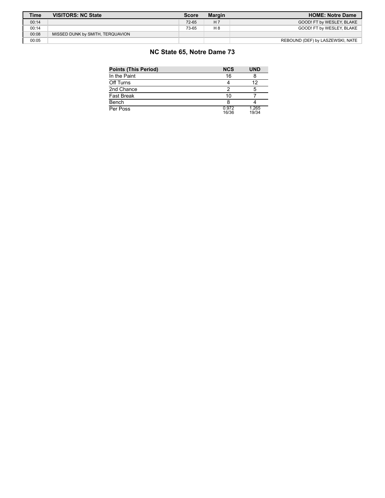| <b>Time</b> | <b>VISITORS: NC State</b>        | <b>Score</b> | <b>Margin</b>  | <b>HOME: Notre Dame</b>          |
|-------------|----------------------------------|--------------|----------------|----------------------------------|
| 00:14       |                                  | 72-65        | H <sub>7</sub> | GOOD! FT by WESLEY, BLAKE        |
| 00:14       |                                  | 73-65        | $H_8$          | GOOD! FT by WESLEY. BLAKE        |
| 00:08       | MISSED DUNK by SMITH, TERQUAVION |              |                |                                  |
| 00:05       |                                  |              |                | REBOUND (DEF) by LASZEWSKI, NATE |

# **NC State 65, Notre Dame 73**

| <b>Points (This Period)</b> | <b>NCS</b>     | <b>UND</b>     |
|-----------------------------|----------------|----------------|
| In the Paint                | 16             |                |
| Off Turns                   |                | 12             |
| 2nd Chance                  |                |                |
| Fast Break                  | 10             |                |
| Bench                       |                |                |
| Per Poss                    | 0.972<br>16/36 | 1.265<br>19/34 |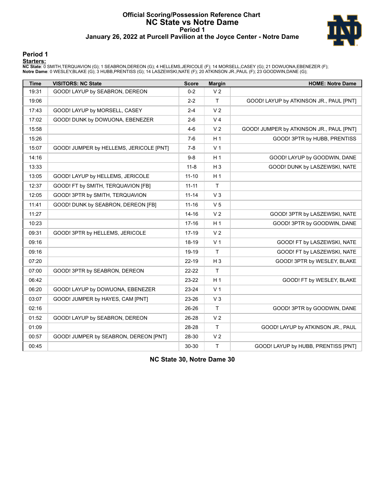#### **Official Scoring/Possession Reference Chart NC State vs Notre Dame Period 1 January 26, 2022 at Purcell Pavilion at the Joyce Center - Notre Dame**



#### **Period 1**

<mark>Starters:</mark><br>NC State: 0 SMITH,TERQUAVION (G); 1 SEABRON,DEREON (G); 4 HELLEMS,JERICOLE (F); 14 MORSELL,CASEY (G); 21 DOWUONA,EBENEZER (F);<br>Notre Dame: 0 WESLEY,BLAKE (G); 3 HUBB,PRENTISS (G); 14 LASZEWSKI,NATE (F); 20 ATKI

| <b>Time</b> | <b>VISITORS: NC State</b>               | <b>Score</b> | <b>Margin</b>  | <b>HOME: Notre Dame</b>                  |
|-------------|-----------------------------------------|--------------|----------------|------------------------------------------|
| 19:31       | GOOD! LAYUP by SEABRON, DEREON          | $0 - 2$      | V <sub>2</sub> |                                          |
| 19:06       |                                         | $2 - 2$      | $\mathsf{T}$   | GOOD! LAYUP by ATKINSON JR., PAUL [PNT]  |
| 17:43       | GOOD! LAYUP by MORSELL, CASEY           | $2 - 4$      | V <sub>2</sub> |                                          |
| 17:02       | GOOD! DUNK by DOWUONA, EBENEZER         | $2 - 6$      | V <sub>4</sub> |                                          |
| 15:58       |                                         | $4 - 6$      | V <sub>2</sub> | GOOD! JUMPER by ATKINSON JR., PAUL [PNT] |
| 15:26       |                                         | $7-6$        | H <sub>1</sub> | GOOD! 3PTR by HUBB, PRENTISS             |
| 15:07       | GOOD! JUMPER by HELLEMS, JERICOLE [PNT] | $7 - 8$      | V <sub>1</sub> |                                          |
| 14:16       |                                         | $9-8$        | H <sub>1</sub> | GOOD! LAYUP by GOODWIN, DANE             |
| 13:33       |                                         | $11 - 8$     | $H_3$          | GOOD! DUNK by LASZEWSKI, NATE            |
| 13:05       | GOOD! LAYUP by HELLEMS, JERICOLE        | $11 - 10$    | H <sub>1</sub> |                                          |
| 12:37       | GOOD! FT by SMITH, TERQUAVION [FB]      | $11 - 11$    | $\mathsf{T}$   |                                          |
| 12:05       | GOOD! 3PTR by SMITH, TERQUAVION         | $11 - 14$    | $V_3$          |                                          |
| 11:41       | GOOD! DUNK by SEABRON, DEREON [FB]      | $11 - 16$    | V <sub>5</sub> |                                          |
| 11:27       |                                         | $14 - 16$    | V <sub>2</sub> | GOOD! 3PTR by LASZEWSKI, NATE            |
| 10:23       |                                         | $17 - 16$    | H <sub>1</sub> | GOOD! 3PTR by GOODWIN, DANE              |
| 09:31       | GOOD! 3PTR by HELLEMS, JERICOLE         | 17-19        | V <sub>2</sub> |                                          |
| 09:16       |                                         | 18-19        | V <sub>1</sub> | GOOD! FT by LASZEWSKI, NATE              |
| 09:16       |                                         | 19-19        | T.             | GOOD! FT by LASZEWSKI, NATE              |
| 07:20       |                                         | $22 - 19$    | $H_3$          | GOOD! 3PTR by WESLEY, BLAKE              |
| 07:00       | GOOD! 3PTR by SEABRON, DEREON           | 22-22        | T              |                                          |
| 06:42       |                                         | 23-22        | H <sub>1</sub> | GOOD! FT by WESLEY, BLAKE                |
| 06:20       | GOOD! LAYUP by DOWUONA, EBENEZER        | 23-24        | V <sub>1</sub> |                                          |
| 03:07       | GOOD! JUMPER by HAYES, CAM [PNT]        | 23-26        | V <sub>3</sub> |                                          |
| 02:16       |                                         | 26-26        | Τ              | GOOD! 3PTR by GOODWIN, DANE              |
| 01:52       | GOOD! LAYUP by SEABRON, DEREON          | 26-28        | V <sub>2</sub> |                                          |
| 01:09       |                                         | 28-28        | T.             | GOOD! LAYUP by ATKINSON JR., PAUL        |
| 00:57       | GOOD! JUMPER by SEABRON, DEREON [PNT]   | 28-30        | V <sub>2</sub> |                                          |
| 00:45       |                                         | 30-30        | T              | GOOD! LAYUP by HUBB, PRENTISS [PNT]      |

**NC State 30, Notre Dame 30**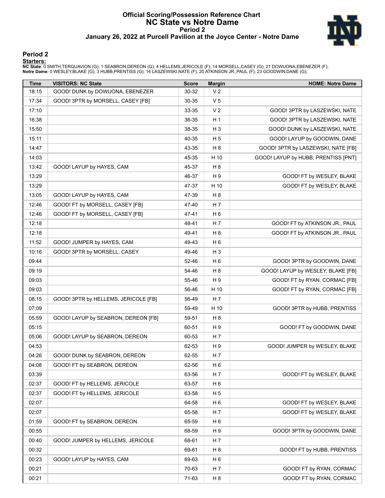#### **Official Scoring/Possession Reference Chart NC State vs Notre Dame Period 2 January 26, 2022 at Purcell Pavilion at the Joyce Center - Notre Dame**



#### **Period 2**

#### **Starters:**

**NC State**: 0 SMITH,TERQUAVION (G); 1 SEABRON,DEREON (G); 4 HELLEMS,JERICOLE (F); 14 MORSELL,CASEY (G); 21 DOWUONA,EBENEZER (F);<br>**Notre Dame**: 0 WESLEY,BLAKE (G); 3 HUBB,PRENTISS (G); 14 LASZEWSKI,NATE (F); 20 ATKINSON JR.

| <b>Time</b> | <b>VISITORS: NC State</b>            | <b>Score</b> | <b>Margin</b>  | <b>HOME: Notre Dame</b>             |
|-------------|--------------------------------------|--------------|----------------|-------------------------------------|
| 18:15       | GOOD! DUNK by DOWUONA, EBENEZER      | 30-32        | V <sub>2</sub> |                                     |
| 17:34       | GOOD! 3PTR by MORSELL, CASEY [FB]    | 30-35        | V <sub>5</sub> |                                     |
| 17:10       |                                      | 33-35        | V <sub>2</sub> | GOOD! 3PTR by LASZEWSKI, NATE       |
| 16:38       |                                      | 36-35        | H <sub>1</sub> | GOOD! 3PTR by LASZEWSKI, NATE       |
| 15:50       |                                      | 38-35        | $H_3$          | GOOD! DUNK by LASZEWSKI, NATE       |
| 15:11       |                                      | 40-35        | H <sub>5</sub> | GOOD! LAYUP by GOODWIN, DANE        |
| 14:47       |                                      | 43-35        | H 8            | GOOD! 3PTR by LASZEWSKI, NATE [FB]  |
| 14:03       |                                      | 45-35        | H 10           | GOOD! LAYUP by HUBB, PRENTISS [PNT] |
| 13:42       | GOOD! LAYUP by HAYES, CAM            | 45-37        | H <sub>8</sub> |                                     |
| 13:29       |                                      | 46-37        | H 9            | GOOD! FT by WESLEY, BLAKE           |
| 13:29       |                                      | 47-37        | H 10           | GOOD! FT by WESLEY, BLAKE           |
| 13:05       | GOOD! LAYUP by HAYES, CAM            | 47-39        | H <sub>8</sub> |                                     |
| 12:46       | GOOD! FT by MORSELL, CASEY [FB]      | 47-40        | H 7            |                                     |
| 12:46       | GOOD! FT by MORSELL, CASEY [FB]      | 47-41        | H <sub>6</sub> |                                     |
| 12:18       |                                      | 48-41        | H 7            | GOOD! FT by ATKINSON JR., PAUL      |
| 12:18       |                                      | 49-41        | H <sub>8</sub> | GOOD! FT by ATKINSON JR., PAUL      |
| 11:52       | GOOD! JUMPER by HAYES, CAM           | 49-43        | H <sub>6</sub> |                                     |
| 10:16       | GOOD! 3PTR by MORSELL, CASEY         | 49-46        | H <sub>3</sub> |                                     |
| 09:44       |                                      | 52-46        | H <sub>6</sub> | GOOD! 3PTR by GOODWIN, DANE         |
| 09:19       |                                      | 54-46        | H <sub>8</sub> | GOOD! LAYUP by WESLEY, BLAKE [FB]   |
| 09:03       |                                      | 55-46        | H 9            | GOOD! FT by RYAN, CORMAC [FB]       |
| 09:03       |                                      | 56-46        | H 10           | GOOD! FT by RYAN, CORMAC [FB]       |
| 08:15       | GOOD! 3PTR by HELLEMS, JERICOLE [FB] | 56-49        | H 7            |                                     |
| 07:09       |                                      | 59-49        | H 10           | GOOD! 3PTR by HUBB, PRENTISS        |
| 05:59       | GOOD! LAYUP by SEABRON, DEREON [FB]  | 59-51        | H <sub>8</sub> |                                     |
| 05:15       |                                      | 60-51        | H 9            | GOOD! FT by GOODWIN, DANE           |
| 05:06       | GOOD! LAYUP by SEABRON, DEREON       | 60-53        | H 7            |                                     |
| 04:53       |                                      | 62-53        | H 9            | GOOD! JUMPER by WESLEY, BLAKE       |
| 04:26       | GOOD! DUNK by SEABRON, DEREON        | 62-55        | H 7            |                                     |
| 04:08       | GOOD! FT by SEABRON, DEREON          | 62-56        | H <sub>6</sub> |                                     |
| 03:39       |                                      | 63-56        | H 7            | GOOD! FT by WESLEY, BLAKE           |
| 02:37       | GOOD! FT by HELLEMS, JERICOLE        | 63-57        | H <sub>6</sub> |                                     |
| 02:37       | GOOD! FT by HELLEMS, JERICOLE        | 63-58        | H <sub>5</sub> |                                     |
| 02:07       |                                      | 64-58        | H <sub>6</sub> | GOOD! FT by WESLEY, BLAKE           |
| 02:07       |                                      | 65-58        | H 7            | GOOD! FT by WESLEY, BLAKE           |
| 01:59       | GOOD! FT by SEABRON, DEREON          | 65-59        | H <sub>6</sub> |                                     |
| 00:55       |                                      | 68-59        | H 9            | GOOD! 3PTR by GOODWIN, DANE         |
| 00:40       | GOOD! JUMPER by HELLEMS, JERICOLE    | 68-61        | H 7            |                                     |
| 00:32       |                                      | 69-61        | H <sub>8</sub> | GOOD! FT by HUBB, PRENTISS          |
| 00:23       | GOOD! LAYUP by HAYES, CAM            | 69-63        | H <sub>6</sub> |                                     |
| 00:21       |                                      | 70-63        | H 7            | GOOD! FT by RYAN, CORMAC            |
| 00:21       |                                      | 71-63        | H <sub>8</sub> | GOOD! FT by RYAN, CORMAC            |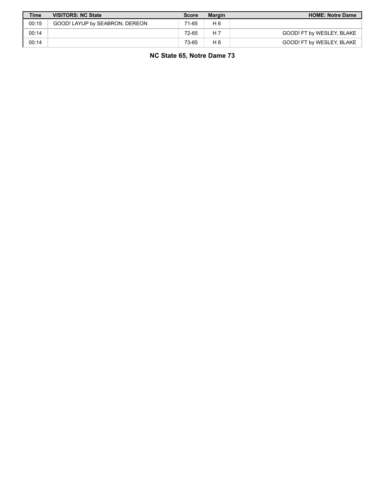| <b>Time</b> | <b>VISITORS: NC State</b>      | <b>Score</b> | <b>Margin</b> | <b>HOME: Notre Dame</b>   |
|-------------|--------------------------------|--------------|---------------|---------------------------|
| 00:15       | GOOD! LAYUP by SEABRON, DEREON | 71-65        | H 6           |                           |
| 00:14       |                                | 72-65        | H 7           | GOOD! FT by WESLEY, BLAKE |
| 00:14       |                                | 73-65        | H 8           | GOOD! FT by WESLEY, BLAKE |

**NC State 65, Notre Dame 73**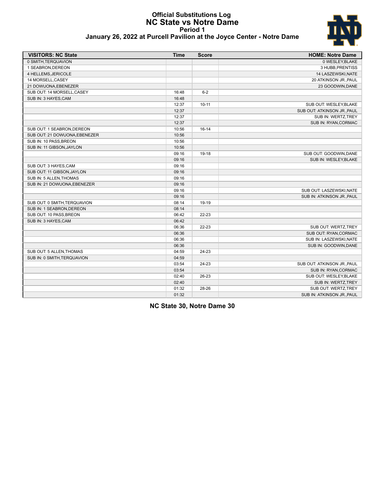#### **Official Substitutions Log NC State vs Notre Dame Period 1 January 26, 2022 at Purcell Pavilion at the Joyce Center - Notre Dame**



| <b>VISITORS: NC State</b>     | <b>Time</b>    | <b>Score</b> | <b>HOME: Notre Dame</b>                          |
|-------------------------------|----------------|--------------|--------------------------------------------------|
| 0 SMITH, TERQUAVION           |                |              | 0 WESLEY, BLAKE                                  |
| 1 SEABRON.DEREON              |                |              | 3 HUBB, PRENTISS                                 |
| 4 HELLEMS, JERICOLE           |                |              | 14 LASZEWSKI, NATE                               |
| 14 MORSELL, CASEY             |                |              | 20 ATKINSON JR., PAUL                            |
| 21 DOWUONA, EBENEZER          |                |              | 23 GOODWIN, DANE                                 |
| SUB OUT: 14 MORSELL, CASEY    | 16:48          | $6 - 2$      |                                                  |
| SUB IN: 3 HAYES, CAM          | 16:48          |              |                                                  |
|                               | 12:37          | $10 - 11$    | SUB OUT: WESLEY, BLAKE                           |
|                               | 12:37          |              | SUB OUT: ATKINSON JR., PAUL                      |
|                               | 12:37          |              | SUB IN: WERTZ, TREY                              |
|                               | 12:37          |              | SUB IN: RYAN, CORMAC                             |
| SUB OUT: 1 SEABRON, DEREON    | 10:56          | $16 - 14$    |                                                  |
| SUB OUT: 21 DOWUONA, EBENEZER | 10:56          |              |                                                  |
| SUB IN: 10 PASS, BREON        | 10:56          |              |                                                  |
| SUB IN: 11 GIBSON, JAYLON     | 10:56          |              |                                                  |
|                               | 09:16          | 19-18        | SUB OUT: GOODWIN, DANE                           |
|                               | 09:16          |              | SUB IN: WESLEY, BLAKE                            |
| SUB OUT: 3 HAYES, CAM         | 09:16          |              |                                                  |
| SUB OUT: 11 GIBSON, JAYLON    | 09:16          |              |                                                  |
| SUB IN: 5 ALLEN, THOMAS       |                |              |                                                  |
| SUB IN: 21 DOWUONA, EBENEZER  | 09:16<br>09:16 |              |                                                  |
|                               |                |              |                                                  |
|                               | 09:16<br>09:16 |              | SUB OUT: LASZEWSKI, NATE                         |
|                               |                | 19-19        | SUB IN: ATKINSON JR., PAUL                       |
| SUB OUT: 0 SMITH, TERQUAVION  | 08:14<br>08:14 |              |                                                  |
| SUB IN: 1 SEABRON, DEREON     |                |              |                                                  |
| SUB OUT: 10 PASS, BREON       | 06:42          | $22 - 23$    |                                                  |
| SUB IN: 3 HAYES, CAM          | 06:42          | 22-23        | SUB OUT: WERTZ, TREY                             |
|                               | 06:36          |              |                                                  |
|                               | 06:36<br>06:36 |              | SUB OUT: RYAN, CORMAC<br>SUB IN: LASZEWSKI, NATE |
|                               |                |              |                                                  |
|                               | 06:36          |              | SUB IN: GOODWIN, DANE                            |
| SUB OUT: 5 ALLEN, THOMAS      | 04:59          | $24 - 23$    |                                                  |
| SUB IN: 0 SMITH, TERQUAVION   | 04:59          |              |                                                  |
|                               | 03:54          | 24-23        | SUB OUT: ATKINSON JR., PAUL                      |
|                               | 03:54          |              | SUB IN: RYAN, CORMAC                             |
|                               | 02:40          | 26-23        | SUB OUT: WESLEY, BLAKE                           |
|                               | 02:40          |              | SUB IN: WERTZ, TREY                              |
|                               | 01:32          | 28-26        | SUB OUT: WERTZ, TREY                             |
|                               | 01:32          |              | SUB IN: ATKINSON JR., PAUL                       |

**NC State 30, Notre Dame 30**